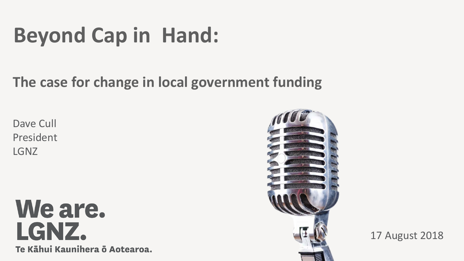# **Beyond Cap in Hand:**

#### **The case for change in local government funding**

Dave Cull President LGNZ

We are. LGNZ. Te Kāhui Kaunihera ō Aotearoa.



17 August 2018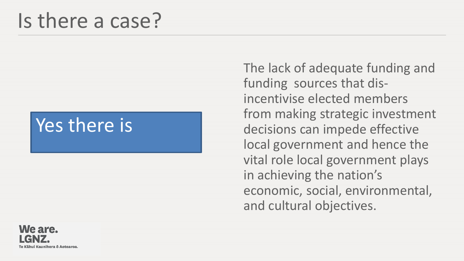## Is there a case?

## Yes there is

We are. iui Kaunihera ō Aotearoa. The lack of adequate funding and funding sources that disincentivise elected members from making strategic investment decisions can impede effective local government and hence the vital role local government plays in achieving the nation's economic, social, environmental, and cultural objectives.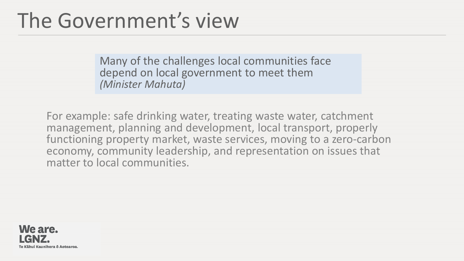## The Government's view

Many of the challenges local communities face depend on local government to meet them *(Minister Mahuta)*

For example: safe drinking water, treating waste water, catchment management, planning and development, local transport, properly functioning property market, waste services, moving to a zero-carbon economy, community leadership, and representation on issues that matter to local communities.

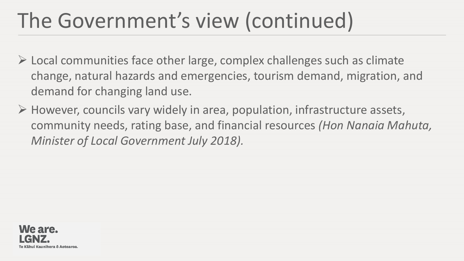# The Government's view (continued)

- $\triangleright$  Local communities face other large, complex challenges such as climate change, natural hazards and emergencies, tourism demand, migration, and demand for changing land use.
- $\triangleright$  However, councils vary widely in area, population, infrastructure assets, community needs, rating base, and financial resources *(Hon Nanaia Mahuta, Minister of Local Government July 2018).*

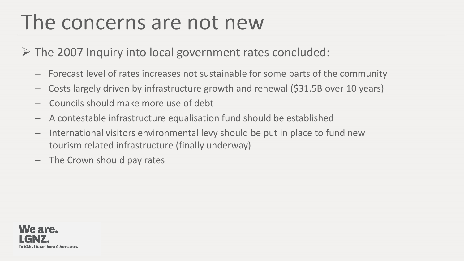## The concerns are not new

- $\triangleright$  The 2007 Inquiry into local government rates concluded:
	- Forecast level of rates increases not sustainable for some parts of the community
	- Costs largely driven by infrastructure growth and renewal (\$31.5B over 10 years)
	- Councils should make more use of debt
	- A contestable infrastructure equalisation fund should be established
	- International visitors environmental levy should be put in place to fund new tourism related infrastructure (finally underway)
	- The Crown should pay rates

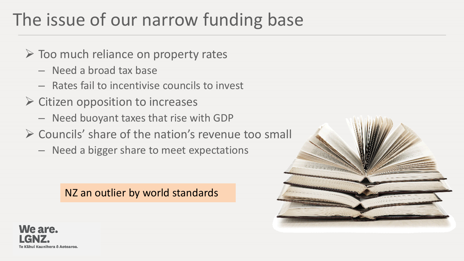## The issue of our narrow funding base

- $\triangleright$  Too much reliance on property rates
	- Need a broad tax base
	- Rates fail to incentivise councils to invest
- $\triangleright$  Citizen opposition to increases
	- Need buoyant taxes that rise with GDP
- $\triangleright$  Councils' share of the nation's revenue too small
	- Need a bigger share to meet expectations

#### NZ an outlier by world standards



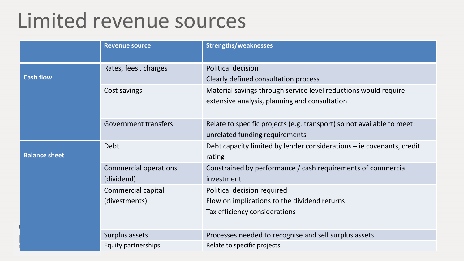## Limited revenue sources

|                      | <b>Revenue source</b>                      | <b>Strengths/weaknesses</b>                                                                                      |
|----------------------|--------------------------------------------|------------------------------------------------------------------------------------------------------------------|
| <b>Cash flow</b>     | Rates, fees, charges                       | Political decision<br>Clearly defined consultation process                                                       |
|                      | Cost savings                               | Material savings through service level reductions would require<br>extensive analysis, planning and consultation |
|                      | Government transfers                       | Relate to specific projects (e.g. transport) so not available to meet<br>unrelated funding requirements          |
| <b>Balance sheet</b> | Debt                                       | Debt capacity limited by lender considerations - ie covenants, credit<br>rating                                  |
|                      | <b>Commercial operations</b><br>(dividend) | Constrained by performance / cash requirements of commercial<br>investment                                       |
|                      | Commercial capital<br>(divestments)        | Political decision required<br>Flow on implications to the dividend returns<br>Tax efficiency considerations     |
|                      | Surplus assets                             | Processes needed to recognise and sell surplus assets                                                            |
|                      | Equity partnerships                        | Relate to specific projects                                                                                      |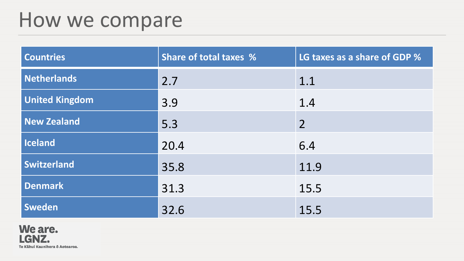## How we compare

| <b>Countries</b>      | <b>Share of total taxes %</b> | LG taxes as a share of GDP % |
|-----------------------|-------------------------------|------------------------------|
| <b>Netherlands</b>    | 2.7                           | 1.1                          |
| <b>United Kingdom</b> | 3.9                           | 1.4                          |
| <b>New Zealand</b>    | 5.3                           | $\overline{2}$               |
| <b>Iceland</b>        | 20.4                          | 6.4                          |
| <b>Switzerland</b>    | 35.8                          | 11.9                         |
| <b>Denmark</b>        | 31.3                          | 15.5                         |
| Sweden                | 32.6                          | 15.5                         |

We are. LGNZ. Te Kāhui Kaunihera ō Aotearoa.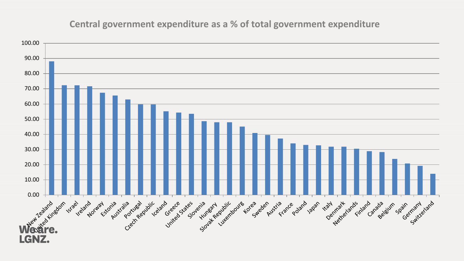#### **Central government expenditure as a % of total government expenditure**

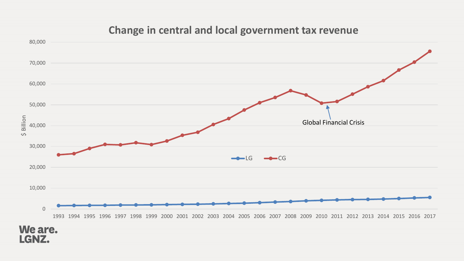#### **Change in central and local government tax revenue**



#### We are. LGNZ.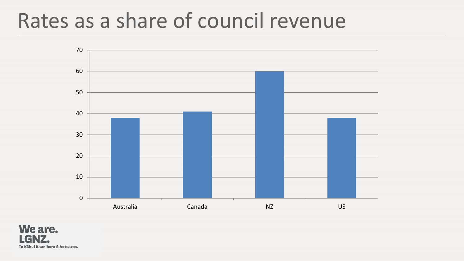## Rates as a share of council revenue



We are. 7. Te Kāhui Kaunihera ō Aotearoa.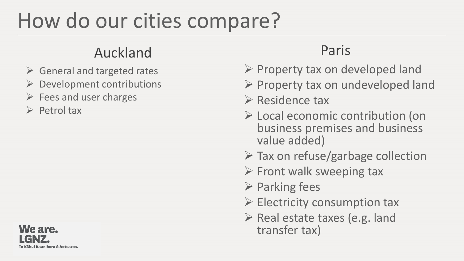# How do our cities compare?

#### Auckland Paris

- $\triangleright$  General and targeted rates
- $\triangleright$  Development contributions
- $\triangleright$  Fees and user charges
- $\triangleright$  Petrol tax

#### We are. Te Kāhui Kaunihera ō Aotearoa.

- $\triangleright$  Property tax on developed land
- $\triangleright$  Property tax on undeveloped land
- $\triangleright$  Residence tax
- Local economic contribution (on business premises and business value added)
- $\triangleright$  Tax on refuse/garbage collection
- $\triangleright$  Front walk sweeping tax
- $\triangleright$  Parking fees
- $\triangleright$  Electricity consumption tax
- $\triangleright$  Real estate taxes (e.g. land transfer tax)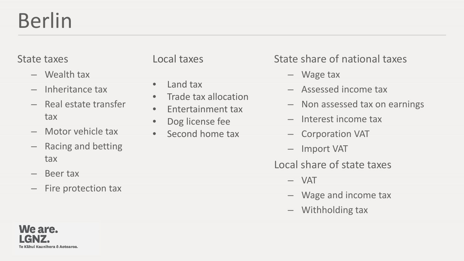# Berlin

#### State taxes

- Wealth tax
- Inheritance tax
- Real estate transfer tax
- Motor vehicle tax
- Racing and betting tax
- Beer tax
- Fire protection tax

#### Local taxes

- Land tax
- Trade tax allocation
- Entertainment tax
- Dog license fee
- Second home tax

#### State share of national taxes

- Wage tax
- Assessed income tax
- Non assessed tax on earnings
- Interest income tax
- Corporation VAT
- Import VAT

#### Local share of state taxes

- VAT
- Wage and income tax
- Withholding tax

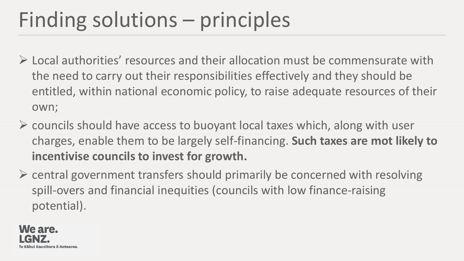# Finding solutions – principles

- $\triangleright$  Local authorities' resources and their allocation must be commensurate with the need to carry out their responsibilities effectively and they should be entitled, within national economic policy, to raise adequate resources of their own;
- $\triangleright$  councils should have access to buoyant local taxes which, along with user charges, enable them to be largely self-financing. **Such taxes are mot likely to incentivise councils to invest for growth.**
- $\triangleright$  central government transfers should primarily be concerned with resolving spill-overs and financial inequities (councils with low finance-raising potential).

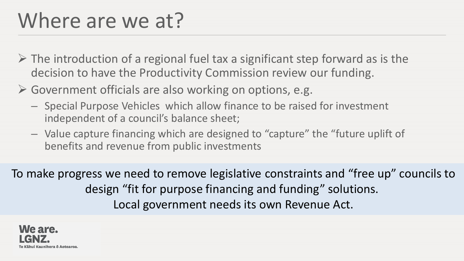## Where are we at?

- $\triangleright$  The introduction of a regional fuel tax a significant step forward as is the decision to have the Productivity Commission review our funding.
- Government officials are also working on options, e.g.
	- Special Purpose Vehicles which allow finance to be raised for investment independent of a council's balance sheet;
	- Value capture financing which are designed to "capture" the "future uplift of benefits and revenue from public investments

To make progress we need to remove legislative constraints and "free up" councils to design "fit for purpose financing and funding" solutions. Local government needs its own Revenue Act.

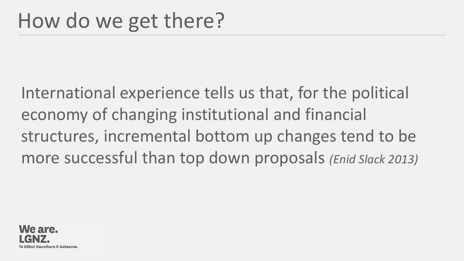International experience tells us that, for the political economy of changing institutional and financial structures, incremental bottom up changes tend to be more successful than top down proposals *(Enid Slack 2013)*